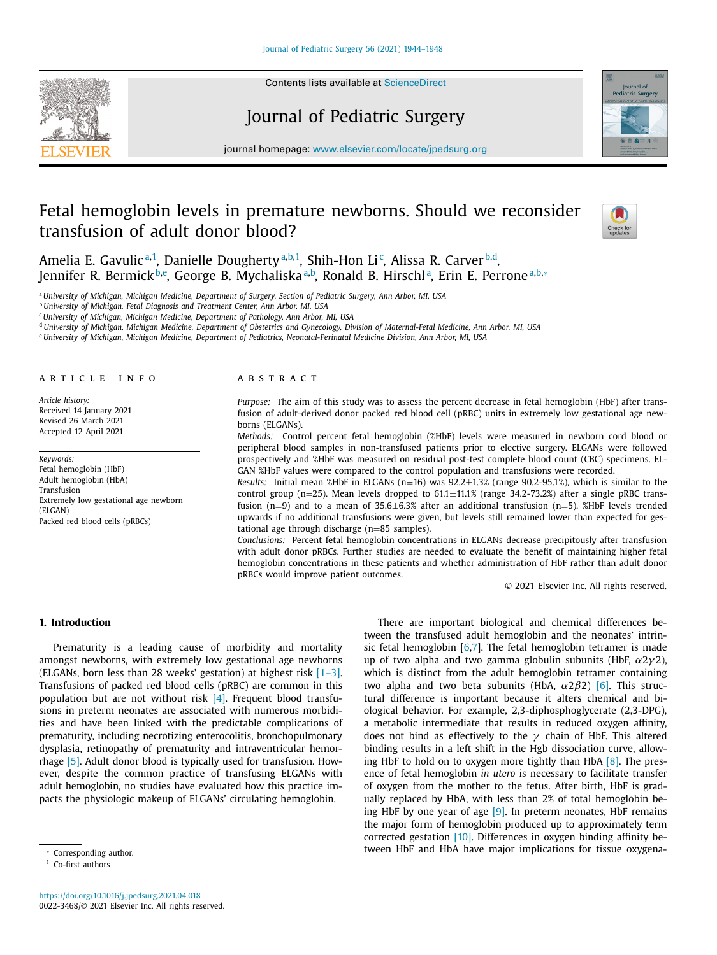

Contents lists available at [ScienceDirect](http://www.ScienceDirect.com)

# Journal of Pediatric Surgery



journal homepage: [www.elsevier.com/locate/jpedsurg.org](http://www.elsevier.com/locate/jpedsurg)

# Fetal hemoglobin levels in premature newborns. Should we reconsider transfusion of adult donor blood?



Amelia E. Gavulic<sup>a,1</sup>, Danielle Dougherty<sup>a,b,1</sup>, Shih-Hon Li<sup>c</sup>, Alissa R. Carver<sup>b,d</sup>, Jennifer R. Bermick<sup>b,e</sup>, George B. Mychaliska<sup>a,b</sup>, Ronald B. Hirschl<sup>a</sup>, Erin E. Perrone<sup>a,b,</sup>\*

a University of Michigan, Michigan Medicine, Department of Surgery, Section of Pediatric Surgery, Ann Arbor, MI, USA

<sup>b</sup> *University of Michigan, Fetal Diagnosis and Treatment Center, Ann Arbor, MI, USA*

<sup>c</sup> *University of Michigan, Michigan Medicine, Department of Pathology, Ann Arbor, MI, USA*

<sup>d</sup> University of Michigan, Michigan Medicine, Department of Obstetrics and Gynecology, Division of Maternal-Fetal Medicine, Ann Arbor, MI, USA

e University of Michigan, Michigan Medicine, Department of Pediatrics, Neonatal-Perinatal Medicine Division, Ann Arbor, MI, USA

#### a r t i c l e i n f o

*Article history:* Received 14 January 2021 Revised 26 March 2021 Accepted 12 April 2021

*Keywords:* Fetal hemoglobin (HbF) Adult hemoglobin (HbA) Transfusion Extremely low gestational age newborn (ELGAN) Packed red blood cells (pRBCs)

#### A B S T R A C T

*Purpose:* The aim of this study was to assess the percent decrease in fetal hemoglobin (HbF) after transfusion of adult-derived donor packed red blood cell (pRBC) units in extremely low gestational age newborns (ELGANs).

*Methods:* Control percent fetal hemoglobin (%HbF) levels were measured in newborn cord blood or peripheral blood samples in non-transfused patients prior to elective surgery. ELGANs were followed prospectively and %HbF was measured on residual post-test complete blood count (CBC) specimens. EL-GAN %HbF values were compared to the control population and transfusions were recorded.

*Results:* Initial mean %HbF in ELGANs (n=16) was 92.2±1.3% (range 90.2-95.1%), which is similar to the control group ( $n=25$ ). Mean levels dropped to  $61.1\pm11.1\%$  (range 34.2-73.2%) after a single pRBC transfusion  $(n=9)$  and to a mean of 35.6 $\pm$ 6.3% after an additional transfusion  $(n=5)$ . %HbF levels trended upwards if no additional transfusions were given, but levels still remained lower than expected for gestational age through discharge (n=85 samples).

*Conclusions:* Percent fetal hemoglobin concentrations in ELGANs decrease precipitously after transfusion with adult donor pRBCs. Further studies are needed to evaluate the benefit of maintaining higher fetal hemoglobin concentrations in these patients and whether administration of HbF rather than adult donor pRBCs would improve patient outcomes.

© 2021 Elsevier Inc. All rights reserved.

# **1. Introduction**

Prematurity is a leading cause of morbidity and mortality amongst newborns, with extremely low gestational age newborns (ELGANs, born less than 28 weeks' gestation) at highest risk [\[1–3\].](#page-4-0) Transfusions of packed red blood cells (pRBC) are common in this population but are not without risk [\[4\].](#page-4-0) Frequent blood transfusions in preterm neonates are associated with numerous morbidities and have been linked with the predictable complications of prematurity, including necrotizing enterocolitis, bronchopulmonary dysplasia, retinopathy of prematurity and intraventricular hemorrhage [\[5\].](#page-4-0) Adult donor blood is typically used for transfusion. However, despite the common practice of transfusing ELGANs with adult hemoglobin, no studies have evaluated how this practice impacts the physiologic makeup of ELGANs' circulating hemoglobin.

There are important biological and chemical differences between the transfused adult hemoglobin and the neonates' intrinsic fetal hemoglobin  $[6,7]$ . The fetal hemoglobin tetramer is made up of two alpha and two gamma globulin subunits (HbF,  $\alpha 2\gamma 2$ ), which is distinct from the adult hemoglobin tetramer containing two alpha and two beta subunits (HbA,  $\alpha$ 2 $\beta$ 2) [\[6\].](#page-4-0) This structural difference is important because it alters chemical and biological behavior. For example, 2,3-diphosphoglycerate (2,3-DPG), a metabolic intermediate that results in reduced oxygen affinity, does not bind as effectively to the  $\gamma$  chain of HbF. This altered binding results in a left shift in the Hgb dissociation curve, allowing HbF to hold on to oxygen more tightly than HbA [\[8\].](#page-4-0) The presence of fetal hemoglobin *in utero* is necessary to facilitate transfer of oxygen from the mother to the fetus. After birth, HbF is gradually replaced by HbA, with less than 2% of total hemoglobin being HbF by one year of age [\[9\].](#page-4-0) In preterm neonates, HbF remains the major form of hemoglobin produced up to approximately term corrected gestation [\[10\].](#page-4-0) Differences in oxygen binding affinity between HbF and HbA have major implications for tissue oxygena-

<sup>∗</sup> Corresponding author.

<sup>&</sup>lt;sup>1</sup> Co-first authors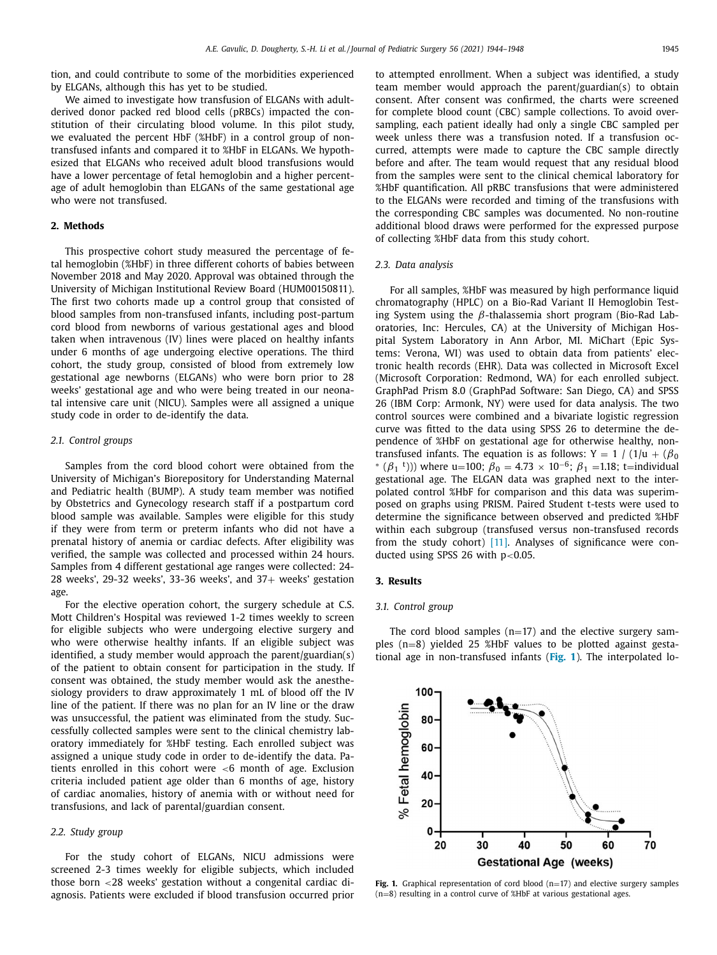tion, and could contribute to some of the morbidities experienced by ELGANs, although this has yet to be studied.

We aimed to investigate how transfusion of ELGANs with adultderived donor packed red blood cells (pRBCs) impacted the constitution of their circulating blood volume. In this pilot study, we evaluated the percent HbF (%HbF) in a control group of nontransfused infants and compared it to %HbF in ELGANs. We hypothesized that ELGANs who received adult blood transfusions would have a lower percentage of fetal hemoglobin and a higher percentage of adult hemoglobin than ELGANs of the same gestational age who were not transfused.

# **2. Methods**

This prospective cohort study measured the percentage of fetal hemoglobin (%HbF) in three different cohorts of babies between November 2018 and May 2020. Approval was obtained through the University of Michigan Institutional Review Board (HUM00150811). The first two cohorts made up a control group that consisted of blood samples from non-transfused infants, including post-partum cord blood from newborns of various gestational ages and blood taken when intravenous (IV) lines were placed on healthy infants under 6 months of age undergoing elective operations. The third cohort, the study group, consisted of blood from extremely low gestational age newborns (ELGANs) who were born prior to 28 weeks' gestational age and who were being treated in our neonatal intensive care unit (NICU). Samples were all assigned a unique study code in order to de-identify the data.

#### *2.1. Control groups*

Samples from the cord blood cohort were obtained from the University of Michigan's Biorepository for Understanding Maternal and Pediatric health (BUMP). A study team member was notified by Obstetrics and Gynecology research staff if a postpartum cord blood sample was available. Samples were eligible for this study if they were from term or preterm infants who did not have a prenatal history of anemia or cardiac defects. After eligibility was verified, the sample was collected and processed within 24 hours. Samples from 4 different gestational age ranges were collected: 24- 28 weeks', 29-32 weeks', 33-36 weeks', and  $37+$  weeks' gestation age.

For the elective operation cohort, the surgery schedule at C.S. Mott Children's Hospital was reviewed 1-2 times weekly to screen for eligible subjects who were undergoing elective surgery and who were otherwise healthy infants. If an eligible subject was identified, a study member would approach the parent/guardian(s) of the patient to obtain consent for participation in the study. If consent was obtained, the study member would ask the anesthesiology providers to draw approximately 1 mL of blood off the IV line of the patient. If there was no plan for an IV line or the draw was unsuccessful, the patient was eliminated from the study. Successfully collected samples were sent to the clinical chemistry laboratory immediately for %HbF testing. Each enrolled subject was assigned a unique study code in order to de-identify the data. Patients enrolled in this cohort were <6 month of age. Exclusion criteria included patient age older than 6 months of age, history of cardiac anomalies, history of anemia with or without need for transfusions, and lack of parental/guardian consent.

#### *2.2. Study group*

For the study cohort of ELGANs, NICU admissions were screened 2-3 times weekly for eligible subjects, which included those born <28 weeks' gestation without a congenital cardiac diagnosis. Patients were excluded if blood transfusion occurred prior to attempted enrollment. When a subject was identified, a study team member would approach the parent/guardian(s) to obtain consent. After consent was confirmed, the charts were screened for complete blood count (CBC) sample collections. To avoid oversampling, each patient ideally had only a single CBC sampled per week unless there was a transfusion noted. If a transfusion occurred, attempts were made to capture the CBC sample directly before and after. The team would request that any residual blood from the samples were sent to the clinical chemical laboratory for %HbF quantification. All pRBC transfusions that were administered to the ELGANs were recorded and timing of the transfusions with the corresponding CBC samples was documented. No non-routine additional blood draws were performed for the expressed purpose of collecting %HbF data from this study cohort.

#### *2.3. Data analysis*

For all samples, %HbF was measured by high performance liquid chromatography (HPLC) on a Bio-Rad Variant II Hemoglobin Testing System using the  $β$ -thalassemia short program (Bio-Rad Laboratories, Inc: Hercules, CA) at the University of Michigan Hospital System Laboratory in Ann Arbor, MI. MiChart (Epic Systems: Verona, WI) was used to obtain data from patients' electronic health records (EHR). Data was collected in Microsoft Excel (Microsoft Corporation: Redmond, WA) for each enrolled subject. GraphPad Prism 8.0 (GraphPad Software: San Diego, CA) and SPSS 26 (IBM Corp: Armonk, NY) were used for data analysis. The two control sources were combined and a bivariate logistic regression curve was fitted to the data using SPSS 26 to determine the dependence of %HbF on gestational age for otherwise healthy, nontransfused infants. The equation is as follows: Y = 1 / (1/u +  $(\beta_0$ ) \*  $(\beta_1$ <sup>t</sup>))) where u=100;  $\beta_0 = 4.73 \times 10^{-6}$ ;  $\beta_1$  =1.18; t=individual gestational age. The ELGAN data was graphed next to the interpolated control %HbF for comparison and this data was superimposed on graphs using PRISM. Paired Student t-tests were used to determine the significance between observed and predicted %HbF within each subgroup (transfused versus non-transfused records from the study cohort) [\[11\].](#page-4-0) Analyses of significance were conducted using SPSS 26 with  $p<0.05$ .

#### **3. Results**

#### *3.1. Control group*

The cord blood samples  $(n=17)$  and the elective surgery samples (n=8) yielded 25 %HbF values to be plotted against gestational age in non-transfused infants (**Fig. 1**). The interpolated lo-



Fig. 1. Graphical representation of cord blood (n=17) and elective surgery samples (n=8) resulting in a control curve of %HbF at various gestational ages.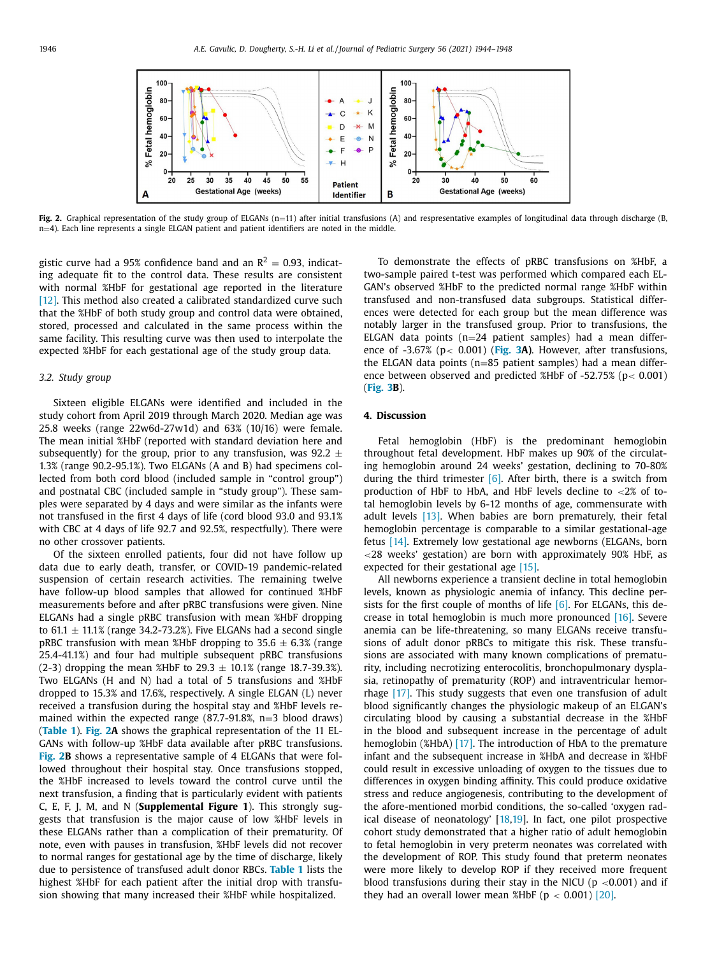

Fig. 2. Graphical representation of the study group of ELGANs (n=11) after initial transfusions (A) and respresentative examples of longitudinal data through discharge (B, n=4). Each line represents a single ELGAN patient and patient identifiers are noted in the middle.

gistic curve had a 95% confidence band and an  $R^2 = 0.93$ , indicating adequate fit to the control data. These results are consistent with normal %HbF for gestational age reported in the literature [\[12\].](#page-4-0) This method also created a calibrated standardized curve such that the %HbF of both study group and control data were obtained, stored, processed and calculated in the same process within the same facility. This resulting curve was then used to interpolate the expected %HbF for each gestational age of the study group data.

## *3.2. Study group*

Sixteen eligible ELGANs were identified and included in the study cohort from April 2019 through March 2020. Median age was 25.8 weeks (range 22w6d-27w1d) and 63% (10/16) were female. The mean initial %HbF (reported with standard deviation here and subsequently) for the group, prior to any transfusion, was  $92.2 \pm$ 1.3% (range 90.2-95.1%). Two ELGANs (A and B) had specimens collected from both cord blood (included sample in "control group") and postnatal CBC (included sample in "study group"). These samples were separated by 4 days and were similar as the infants were not transfused in the first 4 days of life (cord blood 93.0 and 93.1% with CBC at 4 days of life 92.7 and 92.5%, respectfully). There were no other crossover patients.

Of the sixteen enrolled patients, four did not have follow up data due to early death, transfer, or COVID-19 pandemic-related suspension of certain research activities. The remaining twelve have follow-up blood samples that allowed for continued %HbF measurements before and after pRBC transfusions were given. Nine ELGANs had a single pRBC transfusion with mean %HbF dropping to 61.1  $\pm$  11.1% (range 34.2-73.2%). Five ELGANs had a second single pRBC transfusion with mean %HbF dropping to 35.6  $\pm$  6.3% (range 25.4-41.1%) and four had multiple subsequent pRBC transfusions (2-3) dropping the mean %HbF to  $29.3 \pm 10.1$ % (range 18.7-39.3%). Two ELGANs (H and N) had a total of 5 transfusions and %HbF dropped to 15.3% and 17.6%, respectively. A single ELGAN (L) never received a transfusion during the hospital stay and %HbF levels remained within the expected range  $(87.7-91.8\%, n=3$  blood draws) (**[Table](#page-3-0) 1**). **Fig. 2A** shows the graphical representation of the 11 EL-GANs with follow-up %HbF data available after pRBC transfusions. **Fig. 2B** shows a representative sample of 4 ELGANs that were followed throughout their hospital stay. Once transfusions stopped, the %HbF increased to levels toward the control curve until the next transfusion, a finding that is particularly evident with patients C, E, F, J, M, and N (**Supplemental Figure 1**). This strongly suggests that transfusion is the major cause of low %HbF levels in these ELGANs rather than a complication of their prematurity. Of note, even with pauses in transfusion, %HbF levels did not recover to normal ranges for gestational age by the time of discharge, likely due to persistence of transfused adult donor RBCs. **[Table](#page-3-0) 1** lists the highest %HbF for each patient after the initial drop with transfusion showing that many increased their %HbF while hospitalized.

To demonstrate the effects of pRBC transfusions on %HbF, a two-sample paired t-test was performed which compared each EL-GAN's observed %HbF to the predicted normal range %HbF within transfused and non-transfused data subgroups. Statistical differences were detected for each group but the mean difference was notably larger in the transfused group. Prior to transfusions, the ELGAN data points  $(n=24$  patient samples) had a mean difference of -3.67% (p< 0.001) (**[Fig.](#page-3-0) 3A)**. However, after transfusions, the ELGAN data points (n=85 patient samples) had a mean difference between observed and predicted %HbF of  $-52.75\%$  (p $< 0.001$ ) (**[Fig.](#page-3-0) 3B**).

#### **4. Discussion**

Fetal hemoglobin (HbF) is the predominant hemoglobin throughout fetal development. HbF makes up 90% of the circulating hemoglobin around 24 weeks' gestation, declining to 70-80% during the third trimester  $[6]$ . After birth, there is a switch from production of HbF to HbA, and HbF levels decline to <2% of total hemoglobin levels by 6-12 months of age, commensurate with adult levels [\[13\].](#page-4-0) When babies are born prematurely, their fetal hemoglobin percentage is comparable to a similar gestational-age fetus [\[14\].](#page-4-0) Extremely low gestational age newborns (ELGANs, born <28 weeks' gestation) are born with approximately 90% HbF, as expected for their gestational age [\[15\].](#page-4-0)

All newborns experience a transient decline in total hemoglobin levels, known as physiologic anemia of infancy. This decline persists for the first couple of months of life  $[6]$ . For ELGANs, this decrease in total hemoglobin is much more pronounced  $[16]$ . Severe anemia can be life-threatening, so many ELGANs receive transfusions of adult donor pRBCs to mitigate this risk. These transfusions are associated with many known complications of prematurity, including necrotizing enterocolitis, bronchopulmonary dysplasia, retinopathy of prematurity (ROP) and intraventricular hemorrhage [\[17\].](#page-4-0) This study suggests that even one transfusion of adult blood significantly changes the physiologic makeup of an ELGAN's circulating blood by causing a substantial decrease in the %HbF in the blood and subsequent increase in the percentage of adult hemoglobin (%HbA) [\[17\].](#page-4-0) The introduction of HbA to the premature infant and the subsequent increase in %HbA and decrease in %HbF could result in excessive unloading of oxygen to the tissues due to differences in oxygen binding affinity. This could produce oxidative stress and reduce angiogenesis, contributing to the development of the afore-mentioned morbid conditions, the so-called 'oxygen radical disease of neonatology' [\[18,19\]](#page-4-0). In fact, one pilot prospective cohort study demonstrated that a higher ratio of adult hemoglobin to fetal hemoglobin in very preterm neonates was correlated with the development of ROP. This study found that preterm neonates were more likely to develop ROP if they received more frequent blood transfusions during their stay in the NICU ( $p < 0.001$ ) and if they had an overall lower mean %HbF ( $p < 0.001$ ) [\[20\].](#page-4-0)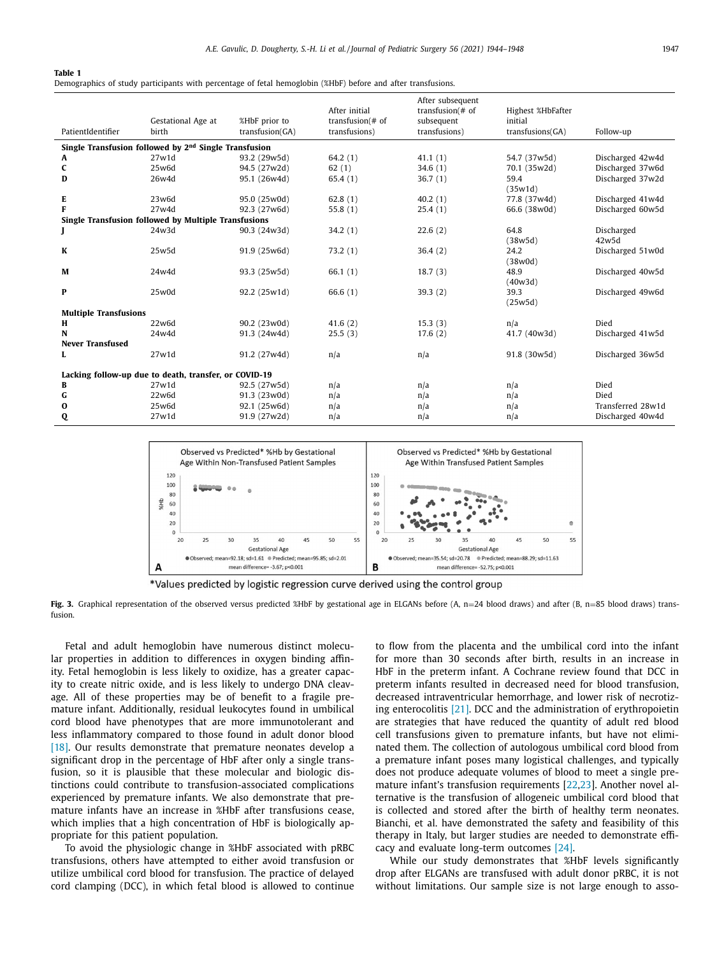<span id="page-3-0"></span>**Table 1**

Demographics of study participants with percentage of fetal hemoglobin (%HbF) before and after transfusions.

|                                                                   |                    |                 | After initial      | After subsequent<br>transfusion $#$ of | Highest %HbFafter |                   |
|-------------------------------------------------------------------|--------------------|-----------------|--------------------|----------------------------------------|-------------------|-------------------|
|                                                                   | Gestational Age at | %HbF prior to   | transfusion $#$ of | subsequent                             | initial           |                   |
| PatientIdentifier                                                 | birth              | transfusion(GA) | transfusions)      | transfusions)                          | transfusions(GA)  | Follow-up         |
| Single Transfusion followed by 2 <sup>nd</sup> Single Transfusion |                    |                 |                    |                                        |                   |                   |
| A                                                                 | 27w1d              | 93.2 (29w5d)    | 64.2(1)            | 41.1(1)                                | 54.7 (37w5d)      | Discharged 42w4d  |
| C                                                                 | 25w6d              | 94.5 (27w2d)    | 62(1)              | 34.6(1)                                | 70.1 (35w2d)      | Discharged 37w6d  |
| D                                                                 | 26w4d              | 95.1 (26w4d)    | 65.4(1)            | 36.7(1)                                | 59.4<br>(35w1d)   | Discharged 37w2d  |
| E                                                                 | 23w6d              | 95.0 (25w0d)    | 62.8(1)            | 40.2(1)                                | 77.8 (37w4d)      | Discharged 41w4d  |
| F                                                                 | 27w4d              | 92.3 (27w6d)    | 55.8 $(1)$         | 25.4(1)                                | 66.6 (38w0d)      | Discharged 60w5d  |
| Single Transfusion followed by Multiple Transfusions              |                    |                 |                    |                                        |                   |                   |
| J                                                                 | 24w3d              | 90.3 (24w3d)    | 34.2(1)            | 22.6(2)                                | 64.8              | Discharged        |
|                                                                   |                    |                 |                    |                                        | (38w5d)           | 42w5d             |
| K                                                                 | 25w5d              | 91.9 (25w6d)    | 73.2(1)            | 36.4(2)                                | 24.2<br>(38w0d)   | Discharged 51w0d  |
| M                                                                 | 24w4d              | 93.3 (25w5d)    | 66.1(1)            | 18.7(3)                                | 48.9              | Discharged 40w5d  |
|                                                                   |                    |                 |                    |                                        | (40w3d)           |                   |
| P                                                                 | 25w0d              | 92.2 (25w1d)    | 66.6 $(1)$         | 39.3(2)                                | 39.3              | Discharged 49w6d  |
|                                                                   |                    |                 |                    |                                        | (25w5d)           |                   |
| <b>Multiple Transfusions</b>                                      |                    |                 |                    |                                        |                   |                   |
| H                                                                 | 22w6d              | 90.2 (23w0d)    | 41.6(2)            | 15.3(3)                                | n/a               | Died              |
| N                                                                 | 24w4d              | 91.3 (24w4d)    | 25.5(3)            | 17.6(2)                                | 41.7 (40w3d)      | Discharged 41w5d  |
| <b>Never Transfused</b>                                           |                    |                 |                    |                                        |                   |                   |
| L                                                                 | 27w1d              | 91.2 (27w4d)    | n/a                | n/a                                    | 91.8 (30w5d)      | Discharged 36w5d  |
| Lacking follow-up due to death, transfer, or COVID-19             |                    |                 |                    |                                        |                   |                   |
| В                                                                 | 27w1d              | 92.5 (27w5d)    | n/a                | n/a                                    | n/a               | Died              |
| G                                                                 | 22w6d              | 91.3 (23w0d)    | n/a                | n/a                                    | n/a               | Died              |
| $\bf{0}$                                                          | 25w6d              | 92.1 (25w6d)    | n/a                | n/a                                    | n/a               | Transferred 28w1d |
| Q                                                                 | 27w1d              | 91.9 (27w2d)    | n/a                | n/a                                    | n/a               | Discharged 40w4d  |





Fig. 3. Graphical representation of the observed versus predicted %HbF by gestational age in ELGANs before (A, n=24 blood draws) and after (B, n=85 blood draws) transfusion.

Fetal and adult hemoglobin have numerous distinct molecular properties in addition to differences in oxygen binding affinity. Fetal hemoglobin is less likely to oxidize, has a greater capacity to create nitric oxide, and is less likely to undergo DNA cleavage. All of these properties may be of benefit to a fragile premature infant. Additionally, residual leukocytes found in umbilical cord blood have phenotypes that are more immunotolerant and less inflammatory compared to those found in adult donor blood [\[18\].](#page-4-0) Our results demonstrate that premature neonates develop a significant drop in the percentage of HbF after only a single transfusion, so it is plausible that these molecular and biologic distinctions could contribute to transfusion-associated complications experienced by premature infants. We also demonstrate that premature infants have an increase in %HbF after transfusions cease, which implies that a high concentration of HbF is biologically appropriate for this patient population.

To avoid the physiologic change in %HbF associated with pRBC transfusions, others have attempted to either avoid transfusion or utilize umbilical cord blood for transfusion. The practice of delayed cord clamping (DCC), in which fetal blood is allowed to continue to flow from the placenta and the umbilical cord into the infant for more than 30 seconds after birth, results in an increase in HbF in the preterm infant. A Cochrane review found that DCC in preterm infants resulted in decreased need for blood transfusion, decreased intraventricular hemorrhage, and lower risk of necrotizing enterocolitis [\[21\].](#page-4-0) DCC and the administration of erythropoietin are strategies that have reduced the quantity of adult red blood cell transfusions given to premature infants, but have not eliminated them. The collection of autologous umbilical cord blood from a premature infant poses many logistical challenges, and typically does not produce adequate volumes of blood to meet a single premature infant's transfusion requirements [\[22,23\]](#page-4-0). Another novel alternative is the transfusion of allogeneic umbilical cord blood that is collected and stored after the birth of healthy term neonates. Bianchi, et al. have demonstrated the safety and feasibility of this therapy in Italy, but larger studies are needed to demonstrate efficacy and evaluate long-term outcomes [\[24\].](#page-4-0)

While our study demonstrates that %HbF levels significantly drop after ELGANs are transfused with adult donor pRBC, it is not without limitations. Our sample size is not large enough to asso